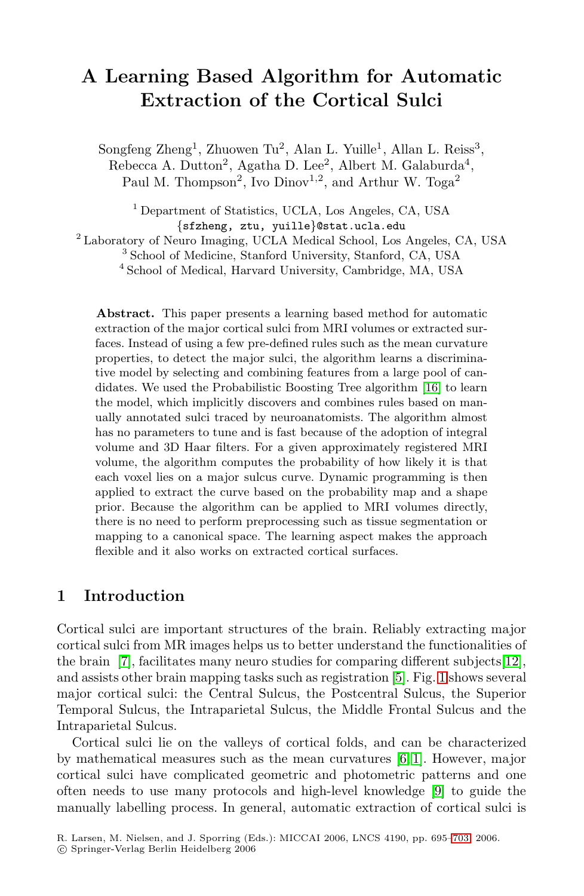# **A Learning Based Algorithm for Automatic Extraction of the Cortical Sulci**

Songfeng Zheng<sup>1</sup>, Zhuowen Tu<sup>2</sup>, Alan L. Yuille<sup>1</sup>, Allan L. Reiss<sup>3</sup>, Rebecca A. Dutton<sup>2</sup>, Agatha D. Lee<sup>2</sup>, Albert M. Galaburda<sup>4</sup>, Paul M. Thompson<sup>2</sup>, Ivo Dinov<sup>1,2</sup>, and Arthur W. Toga<sup>2</sup>

 Department of Statistics, UCLA, Los Angeles, CA, USA {sfzheng, ztu, yuille}@stat.ucla.edu Laboratory of Neuro Imaging, UCLA Medical School, Los Angeles, CA, USA School of Medicine, Stanford University, Stanford, CA, USA School of Medical, Harvard University, Cambridge, MA, USA

**Abstract.** This paper presents a learning based method for automatic extraction of the major cortical sulci from MRI volumes or extracted surfaces. Instead of using a few pre-defined rules such as the mean curvature properties, to detect the major sulci, the algorithm learns a discriminative model by selecting and combining features from a large pool of candidates. We used the Probabilistic Boosting Tree algorithm [16] to learn the model, which implicitly discovers and combines rules based on manually annotated sulci traced by neuroanatomists. The algorithm almost has no parameters to tune and is fast because of the adoption of integral volume and 3D Haar filters. For a given approximately registered MRI volume, the algorithm computes the probability of how likely it is that each voxel lies on a major sulcus curve. Dynamic programming is then applied to extract the curve based on the probability map and a shape prior. Because the algorithm can be applied to MRI volumes directly, there is no need to perform preprocessing such as tissue segmentation or mapping to a canonical space. The learning aspect makes the approach flexible and it also works on extracted cortical surfaces.

# **1 Introduction**

Cortical sulci are important structures of the brain. Reliably extracting major cortical sulci from MR images helps us to better understand the functionalities of the brain [7], facilitates many neuro studies for comparing different subjects[12], and assists other brain mapping tasks such as registration [5]. Fig. 1 shows several major cortical sulci: the Central Sulcus, the Postcentral Sulcus, the Superior Temporal Sulcus, the Intraparietal Sulcus, the Middle Frontal Sulcus and the Intraparietal Sulcus.

Cortical sulci lie on the valleys of cortical folds, and can be characterized by mathematical measures such as the mean curvatures [6, 1]. However, major cortical sulci have complicated geometric and photometric patterns and one often needs to use many protocols and high-level knowledge [9] to guide the manually labelling process. In general, automatic extraction of cortical sulci is

R. Larsen, M. Nielsen, and J. Sporring (Eds.): MICCAI 2006, LNCS 4190, pp. 695–703, 2006.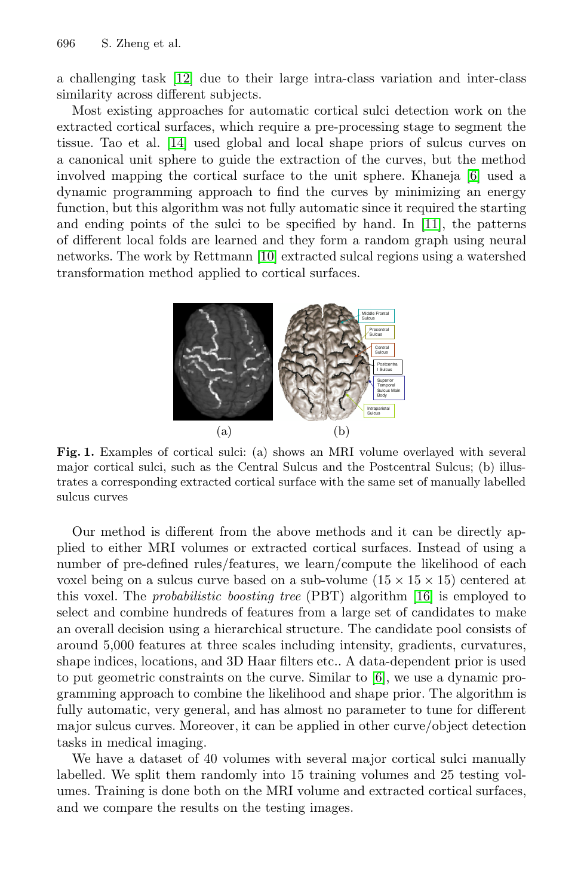a challenging task [12] due to their large intra-class variation and inter-class similarity across different subjects.

Most existing approaches for automatic cortical sulci detection work on the extracted cortical surfaces, which require a pre-processing stage to segment the tissue. Tao et al. [14] used global and local shape priors of sulcus curves on a canonical unit sphere to guide the extraction of the curves, but the method involved mapping the cortical surface to the unit sphere. Khaneja [6] used a dynamic programming approach to find the curves by minimizing an energy function, but this algorithm was not fully automatic since it required the starting and ending points of the sulci to be specified by hand. In [11], the patterns of different local folds are learned and they form a random graph using neural networks. The work by Rettmann [10] extracted sulcal regions using a watershed transformation method applied to cortical surfaces.



**Fig. 1.** Examples of cortical sulci: (a) shows an MRI volume overlayed with several major cortical sulci, such as the Central Sulcus and the Postcentral Sulcus; (b) illustrates a corresponding extracted cortical surface with the same set of manually labelled sulcus curves

Our method is different from the above methods and it can be directly applied to either MRI volumes or extracted cortical surfaces. Instead of using a number of pre-defined rules/features, we learn/compute the likelihood of each voxel being on a sulcus curve based on a sub-volume  $(15 \times 15 \times 15)$  centered at this voxel. The probabilistic boosting tree (PBT) algorithm [16] is employed to select and combine hundreds of features from a large set of candidates to make an overall decision using a hierarchical structure. The candidate pool consists of around 5,000 features at three scales including intensity, gradients, curvatures, shape indices, locations, and 3D Haar filters etc.. A data-dependent prior is used to put geometric constraints on the curve. Similar to [6], we use a dynamic programming approach to combine the likelihood and shape prior. The algorithm is fully automatic, very general, and has almost no parameter to tune for different major sulcus curves. Moreover, it can be applied in other curve/object detection tasks in medical imaging.

We have a dataset of 40 volumes with several major cortical sulci manually labelled. We split them randomly into 15 training volumes and 25 testing volumes. Training is done both on the MRI volume and extracted cortical surfaces, and we compare the results on the testing images.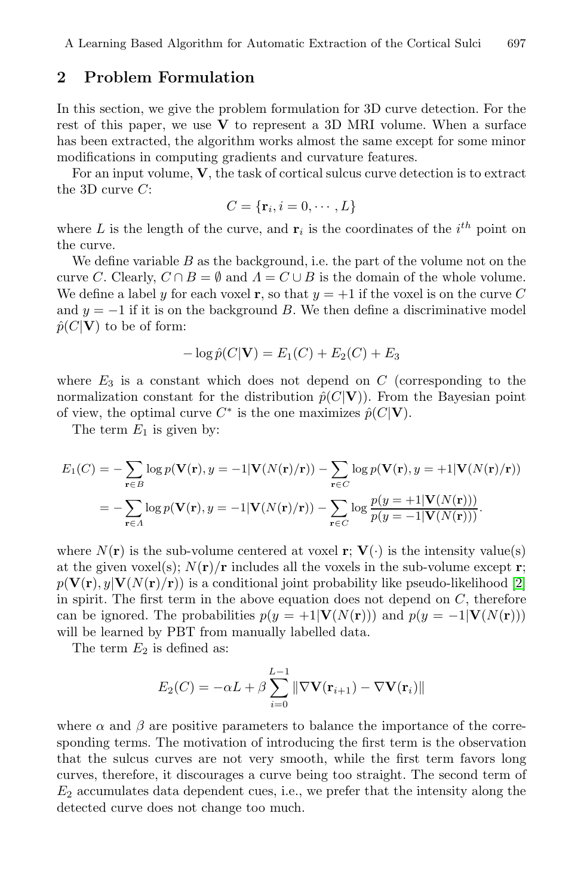### **2 Problem Formulation**

In this section, we give the problem formulation for 3D curve detection. For the rest of this paper, we use  $\bf{V}$  to represent a 3D MRI volume. When a surface has been extracted, the algorithm works almost the same except for some minor modifications in computing gradients and curvature features.

For an input volume, **V**, the task of cortical sulcus curve detection is to extract the 3D curve  $C$ :

$$
C = {\mathbf{r}_i, i = 0, \cdots, L}
$$

where L is the length of the curve, and  $\mathbf{r}_i$  is the coordinates of the  $i^{th}$  point on the curve.

We define variable  $B$  as the background, i.e. the part of the volume not on the curve C. Clearly,  $C \cap B = \emptyset$  and  $\Lambda = C \cup B$  is the domain of the whole volume. We define a label y for each voxel **r**, so that  $y = +1$  if the voxel is on the curve C and  $y = -1$  if it is on the background B. We then define a discriminative model  $\hat{p}(C|\mathbf{V})$  to be of form:

$$
-\log \hat{p}(C|\mathbf{V}) = E_1(C) + E_2(C) + E_3
$$

where  $E_3$  is a constant which does not depend on C (corresponding to the normalization constant for the distribution  $\hat{p}(C|\mathbf{V})$ ). From the Bayesian point of view, the optimal curve  $C^*$  is the one maximizes  $\hat{p}(C|\mathbf{V})$ .

The term  $E_1$  is given by:

$$
E_1(C) = -\sum_{\mathbf{r} \in B} \log p(\mathbf{V}(\mathbf{r}), y = -1 | \mathbf{V}(N(\mathbf{r})/\mathbf{r})) - \sum_{\mathbf{r} \in C} \log p(\mathbf{V}(\mathbf{r}), y = +1 | \mathbf{V}(N(\mathbf{r})/\mathbf{r}))
$$
  
= 
$$
-\sum_{\mathbf{r} \in A} \log p(\mathbf{V}(\mathbf{r}), y = -1 | \mathbf{V}(N(\mathbf{r})/\mathbf{r})) - \sum_{\mathbf{r} \in C} \log \frac{p(y = +1 | \mathbf{V}(N(\mathbf{r})))}{p(y = -1 | \mathbf{V}(N(\mathbf{r})))}.
$$

where  $N(\mathbf{r})$  is the sub-volume centered at voxel **r**;  $\mathbf{V}(\cdot)$  is the intensity value(s) at the given voxel(s);  $N(\mathbf{r})/\mathbf{r}$  includes all the voxels in the sub-volume except **r**;  $p(\mathbf{V}(\mathbf{r}), y|\mathbf{V}(N(\mathbf{r})/\mathbf{r}))$  is a conditional joint probability like pseudo-likelihood [2] in spirit. The first term in the above equation does not depend on  $C$ , therefore can be ignored. The probabilities  $p(y = +1|\mathbf{V}(N(\mathbf{r})))$  and  $p(y = -1|\mathbf{V}(N(\mathbf{r})))$ will be learned by PBT from manually labelled data.

The term  $E_2$  is defined as:

$$
E_2(C) = -\alpha L + \beta \sum_{i=0}^{L-1} \|\nabla \mathbf{V}(\mathbf{r}_{i+1}) - \nabla \mathbf{V}(\mathbf{r}_i)\|
$$

where  $\alpha$  and  $\beta$  are positive parameters to balance the importance of the corresponding terms. The motivation of introducing the first term is the observation that the sulcus curves are not very smooth, while the first term favors long curves, therefore, it discourages a curve being too straight. The second term of  $E_2$  accumulates data dependent cues, i.e., we prefer that the intensity along the detected curve does not change too much.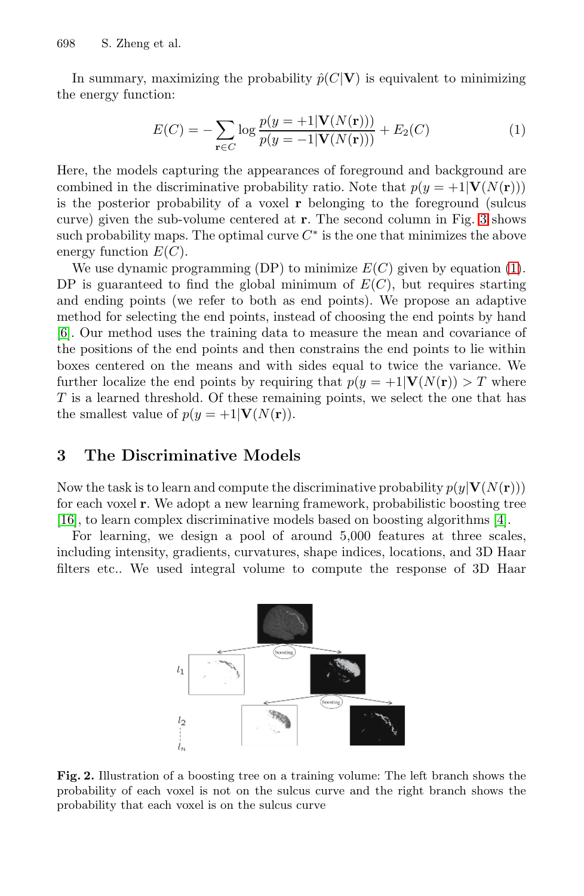In summary, maximizing the probability  $\hat{p}(C|\mathbf{V})$  is equivalent to minimizing the energy function:

$$
E(C) = -\sum_{\mathbf{r} \in C} \log \frac{p(y = +1 | \mathbf{V}(N(\mathbf{r})))}{p(y = -1 | \mathbf{V}(N(\mathbf{r})))} + E_2(C)
$$
(1)

Here, the models capturing the appearances of foreground and background are combined in the discriminative probability ratio. Note that  $p(y = +1|\mathbf{V}(N(\mathbf{r})))$ is the posterior probability of a voxel **r** belonging to the foreground (sulcus curve) given the sub-volume centered at **r**. The second column in Fig. 3 shows such probability maps. The optimal curve  $C^*$  is the one that minimizes the above energy function  $E(C)$ .

We use dynamic programming (DP) to minimize  $E(C)$  given by equation (1). DP is guaranteed to find the global minimum of  $E(C)$ , but requires starting and ending points (we refer to both as end points). We propose an adaptive method for selecting the end points, instead of choosing the end points by hand [6]. Our method uses the training data to measure the mean and covariance of the positions of the end points and then constrains the end points to lie within boxes centered on the means and with sides equal to twice the variance. We further localize the end points by requiring that  $p(y = +1|\mathbf{V}(N(\mathbf{r})) > T$  where T is a learned threshold. Of these remaining points, we select the one that has the smallest value of  $p(y = +1|\mathbf{V}(N(\mathbf{r})).$ 

## **3 The Discriminative Models**

Now the task is to learn and compute the discriminative probability  $p(y|V(N(r)))$ for each voxel **r**. We adopt a new learning framework, probabilistic boosting tree [16], to learn complex discriminative models based on boosting algorithms [4].

For learning, we design a pool of around 5,000 features at three scales, including intensity, gradients, curvatures, shape indices, locations, and 3D Haar filters etc.. We used integral volume to compute the response of 3D Haar



**Fig. 2.** Illustration of a boosting tree on a training volume: The left branch shows the probability of each voxel is not on the sulcus curve and the right branch shows the probability that each voxel is on the sulcus curve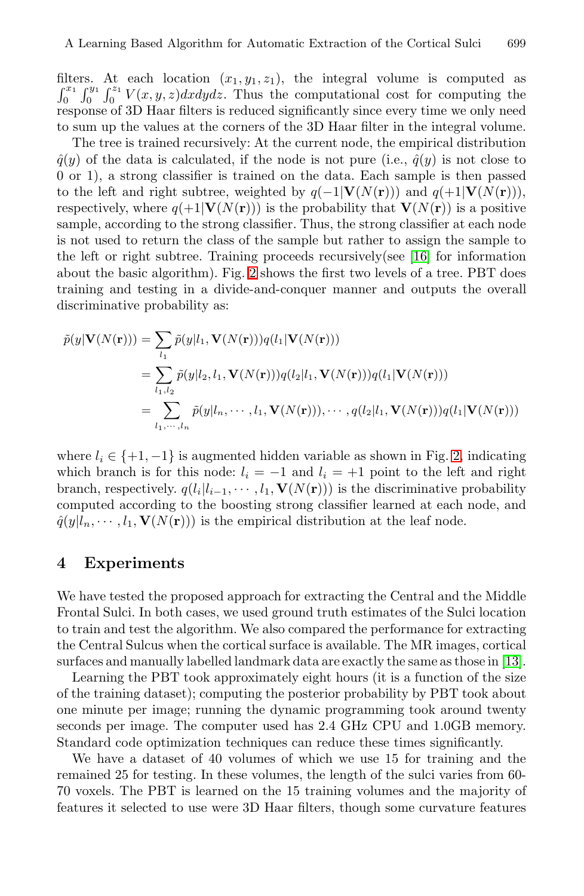filters. At each location  $(x_1, y_1, z_1)$ , the integral volume is computed as  $\int_0^{x_1} \int_0^{y_1} \int_0^{z_1} V(x, y, z) dx dy dz$ . Thus the computational cost for computing the response of 3D Haar filters is reduced significantly since every time we only need to sum up the values at the corners of the 3D Haar filter in the integral volume.

The tree is trained recursively: At the current node, the empirical distribution  $\hat{q}(y)$  of the data is calculated, if the node is not pure (i.e.,  $\hat{q}(y)$  is not close to 0 or 1), a strong classifier is trained on the data. Each sample is then passed to the left and right subtree, weighted by  $q(-1|\mathbf{V}(N(\mathbf{r})))$  and  $q(+1|\mathbf{V}(N(\mathbf{r})))$ , respectively, where  $q(+1|\mathbf{V}(N(\mathbf{r})))$  is the probability that  $\mathbf{V}(N(\mathbf{r}))$  is a positive sample, according to the strong classifier. Thus, the strong classifier at each node is not used to return the class of the sample but rather to assign the sample to the left or right subtree. Training proceeds recursively(see  $[16]$  for information about the basic algorithm). Fig. 2 shows the first two levels of a tree. PBT does training and testing in a divide-and-conquer manner and outputs the overall discriminative probability as:

$$
\tilde{p}(y|\mathbf{V}(N(\mathbf{r}))) = \sum_{l_1} \tilde{p}(y|l_1, \mathbf{V}(N(\mathbf{r})))q(l_1|\mathbf{V}(N(\mathbf{r})))
$$
\n
$$
= \sum_{l_1, l_2} \tilde{p}(y|l_2, l_1, \mathbf{V}(N(\mathbf{r})))q(l_2|l_1, \mathbf{V}(N(\mathbf{r})))q(l_1|\mathbf{V}(N(\mathbf{r})))
$$
\n
$$
= \sum_{l_1, \dots, l_n} \tilde{p}(y|l_n, \dots, l_1, \mathbf{V}(N(\mathbf{r}))), \dots, q(l_2|l_1, \mathbf{V}(N(\mathbf{r})))q(l_1|\mathbf{V}(N(\mathbf{r})))
$$

where  $l_i \in \{+1, -1\}$  is augmented hidden variable as shown in Fig. 2, indicating which branch is for this node:  $l_i = -1$  and  $l_i = +1$  point to the left and right branch, respectively.  $q(l_i|l_{i-1}, \dots, l_1, \mathbf{V}(N(\mathbf{r})))$  is the discriminative probability computed according to the boosting strong classifier learned at each node, and  $\hat{q}(y|l_n, \dots, l_1, \mathbf{V}(N(\mathbf{r})))$  is the empirical distribution at the leaf node.

#### **4 Experiments**

We have tested the proposed approach for extracting the Central and the Middle Frontal Sulci. In both cases, we used ground truth estimates of the Sulci location to train and test the algorithm. We also compared the performance for extracting the Central Sulcus when the cortical surface is available. The MR images, cortical surfaces and manually labelled landmark data are exactly the same as those in [13].

Learning the PBT took approximately eight hours (it is a function of the size of the training dataset); computing the posterior probability by PBT took about one minute per image; running the dynamic programming took around twenty seconds per image. The computer used has 2.4 GHz CPU and 1.0GB memory. Standard code optimization techniques can reduce these times significantly.

We have a dataset of 40 volumes of which we use 15 for training and the remained 25 for testing. In these volumes, the length of the sulci varies from 60- 70 voxels. The PBT is learned on the 15 training volumes and the majority of features it selected to use were 3D Haar filters, though some curvature features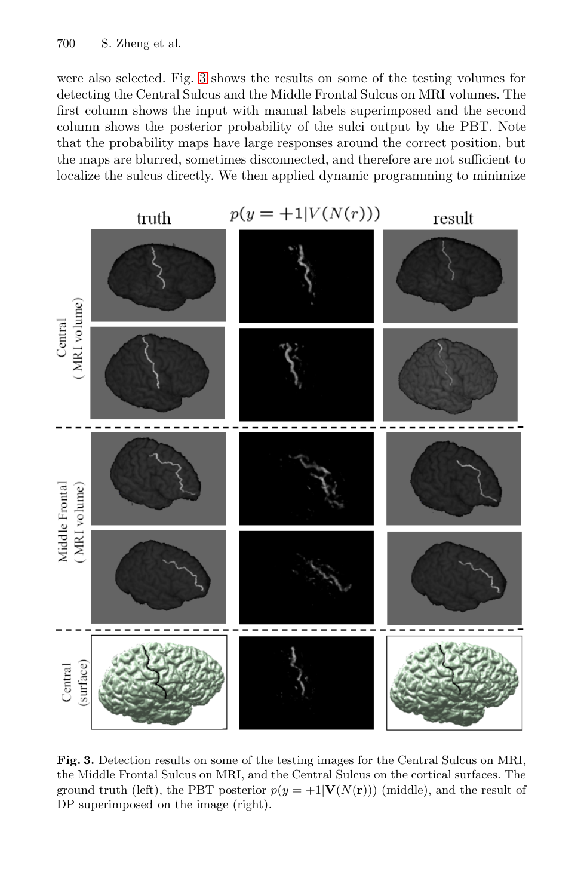were also selected. Fig. 3 shows the results on some of the testing volumes for detecting the Central Sulcus and the Middle Frontal Sulcus on MRI volumes. The first column shows the input with manual labels superimposed and the second column shows the posterior probability of the sulci output by the PBT. Note that the probability maps have large responses around the correct position, but the maps are blurred, sometimes disconnected, and therefore are not sufficient to localize the sulcus directly. We then applied dynamic programming to minimize



**Fig. 3.** Detection results on some of the testing images for the Central Sulcus on MRI, the Middle Frontal Sulcus on MRI, and the Central Sulcus on the cortical surfaces. The ground truth (left), the PBT posterior  $p(y = +1|\mathbf{V}(N(\mathbf{r})))$  (middle), and the result of DP superimposed on the image (right).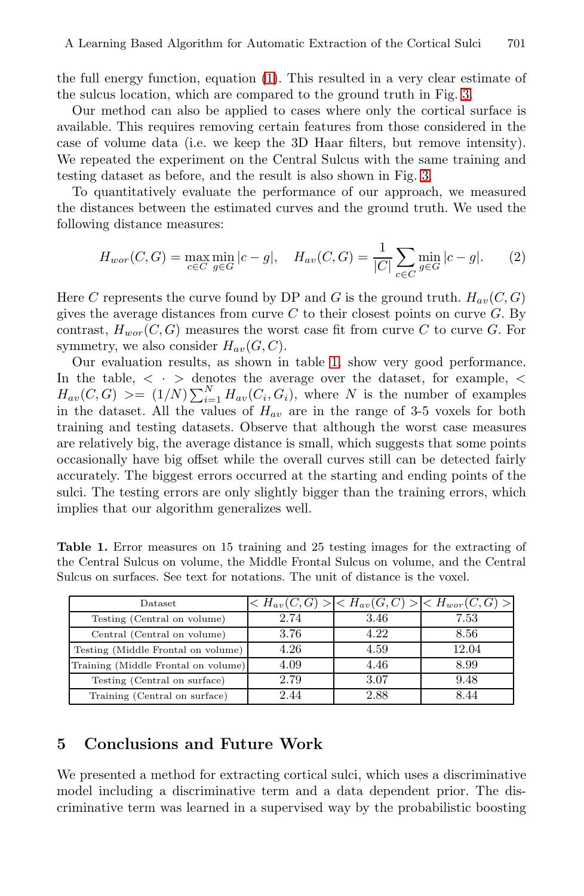the full energy function, equation (1). This resulted in a very clear estimate of the sulcus location, which are compared to the ground truth in Fig. 3.

Our method can also be applied to cases where only the cortical surface is available. This requires removing certain features from those considered in the case of volume data (i.e. we keep the 3D Haar filters, but remove intensity). We repeated the experiment on the Central Sulcus with the same training and testing dataset as before, and the result is also shown in Fig. 3.

To quantitatively evaluate the performance of our approach, we measured the distances between the estimated curves and the ground truth. We used the following distance measures:

$$
H_{wor}(C, G) = \max_{c \in C} \min_{g \in G} |c - g|, \quad H_{av}(C, G) = \frac{1}{|C|} \sum_{c \in C} \min_{g \in G} |c - g|.
$$
 (2)

Here C represents the curve found by DP and G is the ground truth.  $H_{av}(C, G)$ gives the average distances from curve  $C$  to their closest points on curve  $G$ . By contrast,  $H_{wor}(C, G)$  measures the worst case fit from curve C to curve G. For symmetry, we also consider  $H_{av}(G, C)$ .

Our evaluation results, as shown in table 1, show very good performance. In the table,  $\langle \cdot \rangle$  denotes the average over the dataset, for example,  $\langle \cdot \rangle$  $H_{av}(C, G) \geq (1/N) \sum_{i=1}^{N} H_{av}(C_i, G_i)$ , where N is the number of examples in the dataset. All the values of  $H_{av}$  are in the range of 3-5 voxels for both training and testing datasets. Observe that although the worst case measures are relatively big, the average distance is small, which suggests that some points occasionally have big offset while the overall curves still can be detected fairly accurately. The biggest errors occurred at the starting and ending points of the sulci. The testing errors are only slightly bigger than the training errors, which implies that our algorithm generalizes well.

|  |  | <b>Table 1.</b> Error measures on 15 training and 25 testing images for the extracting of |  |  |  |
|--|--|-------------------------------------------------------------------------------------------|--|--|--|
|  |  | the Central Sulcus on volume, the Middle Frontal Sulcus on volume, and the Central        |  |  |  |
|  |  | Sulcus on surfaces. See text for notations. The unit of distance is the voxel.            |  |  |  |

| Dataset                             | $\langle H_{av}(C, G) \rangle$ |      | $\langle H_{av}(G, C) \rangle \langle H_{wor}(C, G) \rangle$ |
|-------------------------------------|--------------------------------|------|--------------------------------------------------------------|
| Testing (Central on volume)         | 2.74                           | 3.46 | 7.53                                                         |
| Central (Central on volume)         | 3.76                           | 4.22 | 8.56                                                         |
| Testing (Middle Frontal on volume)  | 4.26                           | 4.59 | 12.04                                                        |
| Training (Middle Frontal on volume) | 4.09                           | 4.46 | 8.99                                                         |
| Testing (Central on surface)        | 2.79                           | 3.07 | 9.48                                                         |
| Training (Central on surface)       | 2.44                           | 2.88 |                                                              |

# **5 Conclusions and Future Work**

We presented a method for extracting cortical sulci, which uses a discriminative model including a discriminative term and a data dependent prior. The discriminative term was learned in a supervised way by the probabilistic boosting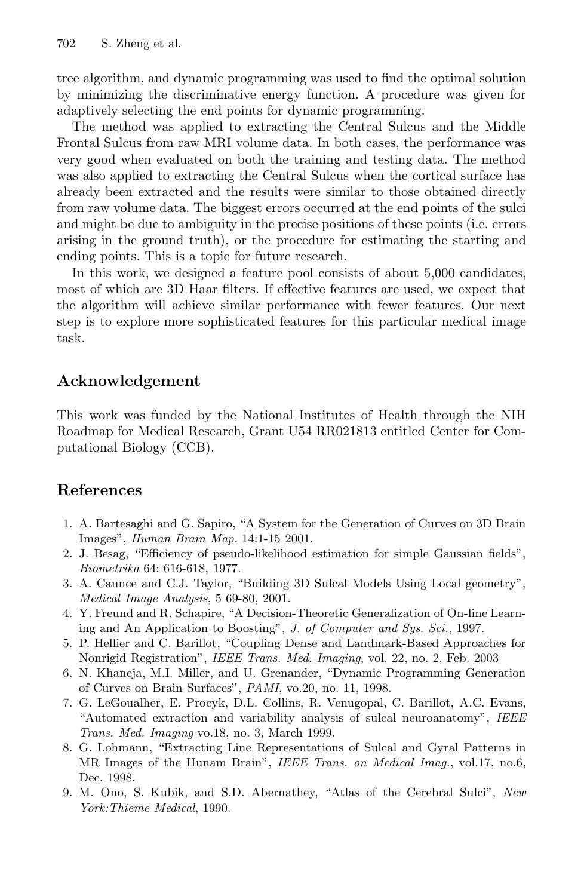tree algorithm, and dynamic programming was used to find the optimal solution by minimizing the discriminative energy function. A procedure was given for adaptively selecting the end points for dynamic programming.

The method was applied to extracting the Central Sulcus and the Middle Frontal Sulcus from raw MRI volume data. In both cases, the performance was very good when evaluated on both the training and testing data. The method was also applied to extracting the Central Sulcus when the cortical surface has already been extracted and the results were similar to those obtained directly from raw volume data. The biggest errors occurred at the end points of the sulci and might be due to ambiguity in the precise positions of these points (i.e. errors arising in the ground truth), or the procedure for estimating the starting and ending points. This is a topic for future research.

In this work, we designed a feature pool consists of about 5,000 candidates, most of which are 3D Haar filters. If effective features are used, we expect that the algorithm will achieve similar performance with fewer features. Our next step is to explore more sophisticated features for this particular medical image task.

# **Acknowledgement**

This work was funded by the National Institutes of Health through the NIH Roadmap for Medical Research, Grant U54 RR021813 entitled Center for Computational Biology (CCB).

# **References**

- 1. A. Bartesaghi and G. Sapiro, "A System for the Generation of Curves on 3D Brain Images", Human Brain Map. 14:1-15 2001.
- 2. J. Besag, "Efficiency of pseudo-likelihood estimation for simple Gaussian fields", Biometrika 64: 616-618, 1977.
- 3. A. Caunce and C.J. Taylor, "Building 3D Sulcal Models Using Local geometry", Medical Image Analysis, 5 69-80, 2001.
- 4. Y. Freund and R. Schapire, "A Decision-Theoretic Generalization of On-line Learning and An Application to Boosting", J. of Computer and Sys. Sci., 1997.
- 5. P. Hellier and C. Barillot, "Coupling Dense and Landmark-Based Approaches for Nonrigid Registration", IEEE Trans. Med. Imaging, vol. 22, no. 2, Feb. 2003
- 6. N. Khaneja, M.I. Miller, and U. Grenander, "Dynamic Programming Generation of Curves on Brain Surfaces", PAMI, vo.20, no. 11, 1998.
- 7. G. LeGoualher, E. Procyk, D.L. Collins, R. Venugopal, C. Barillot, A.C. Evans, "Automated extraction and variability analysis of sulcal neuroanatomy", IEEE Trans. Med. Imaging vo.18, no. 3, March 1999.
- 8. G. Lohmann, "Extracting Line Representations of Sulcal and Gyral Patterns in MR Images of the Hunam Brain", IEEE Trans. on Medical Imag., vol.17, no.6, Dec. 1998.
- 9. M. Ono, S. Kubik, and S.D. Abernathey, "Atlas of the Cerebral Sulci", New York:Thieme Medical, 1990.